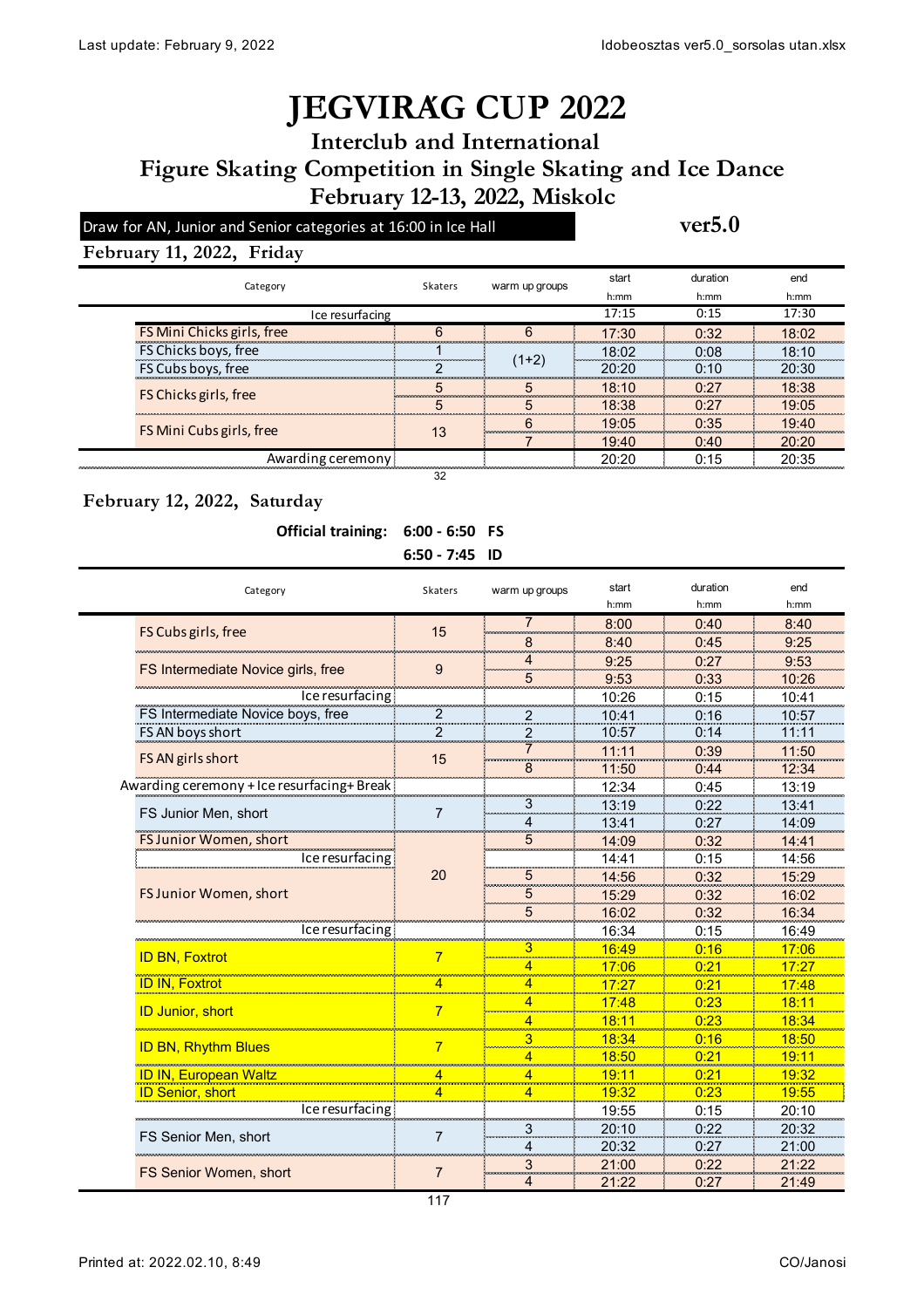## **JÉGVIRÁG CUP 2022**

**Interclub and International** 

**February 12-13, 2022, Miskolc Figure Skating Competition in Single Skating and Ice Dance**

Draw for AN, Junior and Senior categories at 16:00 in Ice Hall **ver5.0** 

#### **February 11, 2022, Friday**

|                   | Category                   |    | warm up groups | start                                    | duration                 | end                                |
|-------------------|----------------------------|----|----------------|------------------------------------------|--------------------------|------------------------------------|
|                   |                            |    |                | h:mm                                     | h:mm                     | h:mm                               |
|                   | Ice resurfacing            |    |                | 17:15                                    | 0:15                     | 17:30                              |
|                   | FS Mini Chicks girls, free |    |                | 17:30                                    | 0.32                     | 18.02                              |
|                   | FS Chicks boys, free       |    |                | 18:02                                    | 0.08                     | 18:10                              |
|                   | FS Cubs boys, free         |    | (1+2)          | 20.20                                    | 0.10                     | 20:30                              |
|                   | FS Chicks girls, free      |    |                | 18:10<br>--------                        | 0.27<br>---------------- | 18:38<br><b><i>CONTRACTORS</i></b> |
|                   |                            |    |                | 18:38<br>-----------------<br>---------- | ∩∙27                     | 19.05<br>-----------------         |
|                   | FS Mini Cubs girls, free   | 13 |                | 19:05                                    | 0.35                     | 19.40                              |
|                   |                            |    |                | 19:40                                    | 0:40                     | 20:20                              |
| Awarding ceremony |                            |    |                | 20.20                                    | 0.15                     |                                    |
| 32                |                            |    |                |                                          |                          |                                    |

#### **February 12, 2022, Saturday**

#### **Official training: 6:00 - 6:50 FS**

| $6:50 - 7:45$ ID |
|------------------|
|                  |

| Category                                   | <b>Skaters</b> | warm up groups          | start         | duration | end           |
|--------------------------------------------|----------------|-------------------------|---------------|----------|---------------|
|                                            |                |                         | h:mm          | $h$ :mm  | $h$ : mm      |
| FS Cubs girls, free                        | 15             | <b>Second</b>           | 8:00          | 0:40     | 8:40          |
|                                            |                | 8                       | 8:40          | 0:45     | 9:25          |
| FS Intermediate Novice girls, free         | 9              | 4                       | 9:25          | 0:27     | 9:53          |
|                                            |                | 5                       | 9:53          | 0:33     | 10:26         |
| Ice resurfacing                            |                |                         | 10:26         | 0:15     | 10:41         |
| FS Intermediate Novice boys, free          | 2              |                         | 10:41         | 0:16     | 10:57         |
| FS AN boys short                           | 2              | $\overline{\mathbf{c}}$ | 10:57         | 0:14     | 11:11         |
| FS AN girls short                          |                |                         | 11:11         | 0:39     | 11:50         |
|                                            | 15             | 8                       | 11:50         | 0:44     | 12:34         |
| Awarding ceremony + Ice resurfacing+ Break |                |                         | 12:34         | 0:45     | 13:19         |
|                                            | $\overline{7}$ | 3<br><b>Contractor</b>  | 13:19         | 0:22     | 13:41         |
| FS Junior Men, short                       |                | Δ                       | 13:41         | 0:27     | 14:09         |
| <b>FS Junior Women, short</b>              | 20             | 5                       | 14:09         | 0:32     | 14:41         |
| Ice resurfacing                            |                |                         | 14:41         | 0:15     | 14:56         |
|                                            |                | 5                       | 14:56         | 0:32     | 15:29         |
| FS Junior Women, short                     |                | 5                       | 15:29         | 0:32     | 16:02         |
|                                            |                | 5                       | 16:02         | 0:32     | 16:34         |
| Ice resurfacing                            |                |                         | 16:34         | 0:15     | 16:49         |
|                                            | 7              | 3                       | 16:49         | 0:16     | 17:06         |
| <b>ID BN, Foxtrot</b>                      |                | 4                       | 17:06         | 0:21     | 17:27         |
| <b>ID IN, Foxtrot</b>                      | 4              | 4                       | 17:27         | 0:21     | 17:48         |
|                                            | $\overline{7}$ | 4                       | 17:48         | 0:23     | 18:11         |
| <b>ID Junior, short</b>                    |                |                         | <u> 18:11</u> | 0:23     | <u> 18:34</u> |
|                                            | 7              | 3                       | 18:34         | 0:16     | 18:50         |
| <b>ID BN, Rhythm Blues</b>                 |                | 4                       | 18:50         | 0:21     | 19:11         |
| ID IN, European Waltz                      | 4              | 4                       | 19:11         | 0:21     | 19:32         |
| <b>ID Senior, short</b>                    | 4              | min.<br>4               | 19:32         | 0:23     | 19:55         |
| Ice resurfacing                            |                |                         | 19:55         | 0:15     | 20:10         |
|                                            | $\overline{7}$ | $\overline{\mathbf{3}}$ | 20:10         | 0:22     | 20:32         |
| FS Senior Men, short                       |                | Δ                       | 20:32         | 0:27     | 21:00         |
|                                            | 7              | 3                       | 21:00         | 0:22     | 21:22         |
| <b>FS Senior Women, short</b>              |                | 4                       | 21:22         | 0:27     | 21:49         |